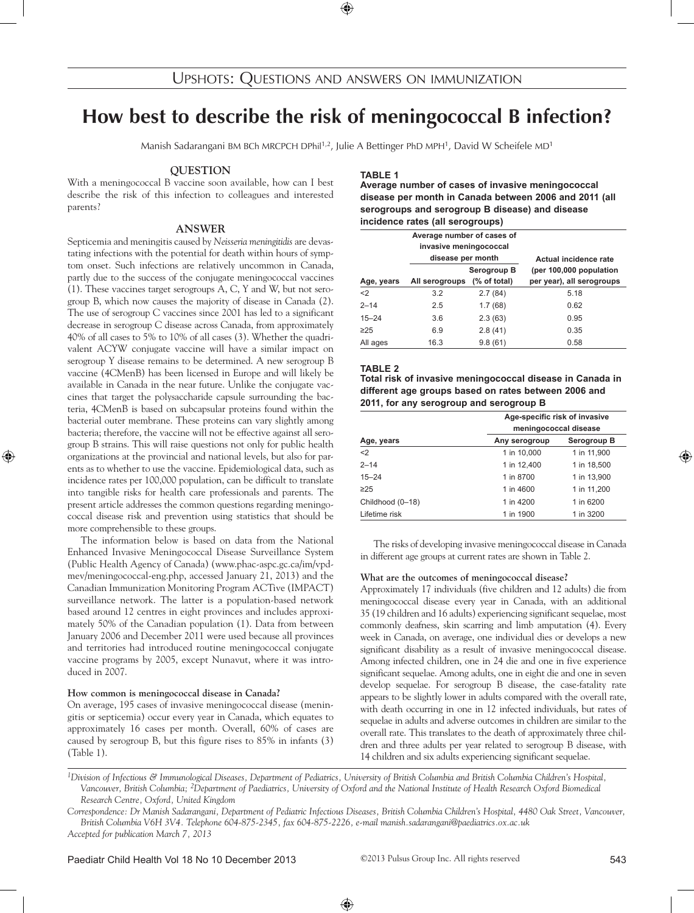# **How best to describe the risk of meningococcal B infection?**

Manish Sadarangani BM BCh MRCPCH DPhil<sup>1,2</sup>, Julie A Bettinger PhD MPH<sup>1</sup>, David W Scheifele MD<sup>1</sup>

### **Question**

With a meningococcal B vaccine soon available, how can I best describe the risk of this infection to colleagues and interested parents?

# **answer**

Septicemia and meningitis caused by *Neisseria meningitidis* are devastating infections with the potential for death within hours of symptom onset. Such infections are relatively uncommon in Canada, partly due to the success of the conjugate meningococcal vaccines (1). These vaccines target serogroups A, C, Y and W, but not serogroup B, which now causes the majority of disease in Canada (2). The use of serogroup C vaccines since 2001 has led to a significant decrease in serogroup C disease across Canada, from approximately 40% of all cases to 5% to 10% of all cases (3). Whether the quadrivalent ACYW conjugate vaccine will have a similar impact on serogroup Y disease remains to be determined. A new serogroup B vaccine (4CMenB) has been licensed in Europe and will likely be available in Canada in the near future. Unlike the conjugate vaccines that target the polysaccharide capsule surrounding the bacteria, 4CMenB is based on subcapsular proteins found within the bacterial outer membrane. These proteins can vary slightly among bacteria; therefore, the vaccine will not be effective against all serogroup B strains. This will raise questions not only for public health organizations at the provincial and national levels, but also for parents as to whether to use the vaccine. Epidemiological data, such as incidence rates per 100,000 population, can be difficult to translate into tangible risks for health care professionals and parents. The present article addresses the common questions regarding meningococcal disease risk and prevention using statistics that should be more comprehensible to these groups.

The information below is based on data from the National Enhanced Invasive Meningococcal Disease Surveillance System (Public Health Agency of Canada) (www.phac-aspc.gc.ca/im/vpdmev/meningococcal-eng.php, accessed January 21, 2013) and the Canadian Immunization Monitoring Program ACTive (IMPACT) surveillance network. The latter is a population-based network based around 12 centres in eight provinces and includes approximately 50% of the Canadian population (1). Data from between January 2006 and December 2011 were used because all provinces and territories had introduced routine meningococcal conjugate vaccine programs by 2005, except Nunavut, where it was introduced in 2007.

#### **How common is meningococcal disease in Canada?**

On average, 195 cases of invasive meningococcal disease (meningitis or septicemia) occur every year in Canada, which equates to approximately 16 cases per month. Overall, 60% of cases are caused by serogroup B, but this figure rises to 85% in infants (3) (Table 1).

### **Table 1**

**Average number of cases of invasive meningococcal disease per month in Canada between 2006 and 2011 (all serogroups and serogroup B disease) and disease incidence rates (all serogroups)**

|            | Average number of cases of<br>invasive meningococcal<br>disease per month |                             | Actual incidence rate                                |  |
|------------|---------------------------------------------------------------------------|-----------------------------|------------------------------------------------------|--|
| Age, years | All serogroups                                                            | Serogroup B<br>(% of total) | (per 100,000 population<br>per year), all serogroups |  |
| $2$        | 3.2                                                                       | 2.7(84)                     | 5.18                                                 |  |
| $2 - 14$   | 2.5                                                                       | 1.7(68)                     | 0.62                                                 |  |
| $15 - 24$  | 3.6                                                                       | 2.3(63)                     | 0.95                                                 |  |
| $\geq$ 25  | 6.9                                                                       | 2.8(41)                     | 0.35                                                 |  |
| All ages   | 16.3                                                                      | 9.8(61)                     | 0.58                                                 |  |

### **Table 2**

| Total risk of invasive meningococcal disease in Canada in |  |
|-----------------------------------------------------------|--|
| different age groups based on rates between 2006 and      |  |
| 2011, for any serogroup and serogroup B                   |  |

|                  | Age-specific risk of invasive<br>meningococcal disease |             |  |  |
|------------------|--------------------------------------------------------|-------------|--|--|
| Age, years       | Any serogroup                                          | Serogroup B |  |  |
| $2$              | 1 in 10,000                                            | 1 in 11,900 |  |  |
| $2 - 14$         | 1 in 12,400                                            | 1 in 18,500 |  |  |
| $15 - 24$        | 1 in 8700                                              | 1 in 13,900 |  |  |
| $\geq$ 25        | 1 in 4600                                              | 1 in 11.200 |  |  |
| Childhood (0-18) | 1 in 4200                                              | 1 in 6200   |  |  |
| Lifetime risk    | 1 in 1900                                              | 1 in 3200   |  |  |

The risks of developing invasive meningococcal disease in Canada in different age groups at current rates are shown in Table 2.

#### **What are the outcomes of meningococcal disease?**

Approximately 17 individuals (five children and 12 adults) die from meningococcal disease every year in Canada, with an additional 35 (19 children and 16 adults) experiencing significant sequelae, most commonly deafness, skin scarring and limb amputation (4). Every week in Canada, on average, one individual dies or develops a new significant disability as a result of invasive meningococcal disease. Among infected children, one in 24 die and one in five experience significant sequelae. Among adults, one in eight die and one in seven develop sequelae. For serogroup B disease, the case-fatality rate appears to be slightly lower in adults compared with the overall rate, with death occurring in one in 12 infected individuals, but rates of sequelae in adults and adverse outcomes in children are similar to the overall rate. This translates to the death of approximately three children and three adults per year related to serogroup B disease, with 14 children and six adults experiencing significant sequelae.

*<sup>1</sup>Division of Infectious & Immunological Diseases, Department of Pediatrics, University of British Columbia and British Columbia Children's Hospital, Vancouver, British Columbia; 2Department of Paediatrics, University of Oxford and the National Institute of Health Research Oxford Biomedical Research Centre, Oxford, United Kingdom*

*Correspondence: Dr Manish Sadarangani, Department of Pediatric Infectious Diseases, British Columbia Children's Hospital, 4480 Oak Street, Vancouver, British Columbia V6H 3V4. Telephone 604-875-2345, fax 604-875-2226, e-mail manish.sadarangani@paediatrics.ox.ac.uk Accepted for publication March 7, 2013*